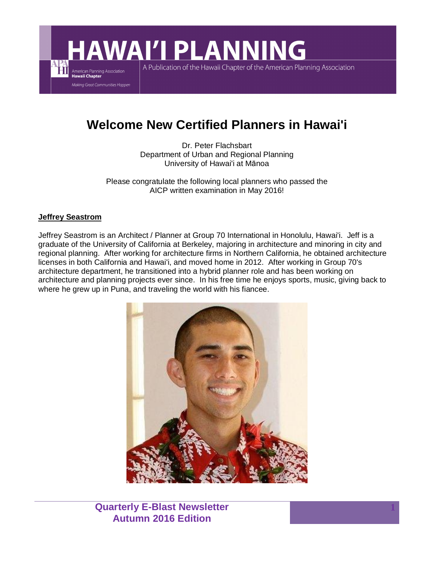# **AWAI'I PLANNING**

A Publication of the Hawaii Chapter of the American Planning Association

# **Welcome New Certified Planners in Hawai'i**

Dr. Peter Flachsbart Department of Urban and Regional Planning University of Hawai'i at Mānoa

Please congratulate the following local planners who passed the AICP written examination in May 2016!

#### **Jeffrey Seastrom**

American Planning Association<br>Hawaii Chapter Making Great Communities Happen

Jeffrey Seastrom is an Architect / Planner at Group 70 International in Honolulu, Hawai'i. Jeff is a graduate of the University of California at Berkeley, majoring in architecture and minoring in city and regional planning. After working for architecture firms in Northern California, he obtained architecture licenses in both California and Hawai'i, and moved home in 2012. After working in Group 70's architecture department, he transitioned into a hybrid planner role and has been working on architecture and planning projects ever since. In his free time he enjoys sports, music, giving back to where he grew up in Puna, and traveling the world with his fiancee.



**Quarterly E-Blast Newsletter Autumn 2016 Edition**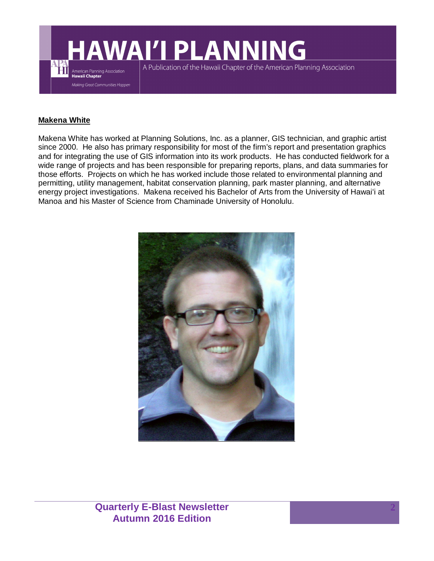

### **Makena White**

Makena White has worked at Planning Solutions, Inc. as a planner, GIS technician, and graphic artist since 2000. He also has primary responsibility for most of the firm's report and presentation graphics and for integrating the use of GIS information into its work products. He has conducted fieldwork for a wide range of projects and has been responsible for preparing reports, plans, and data summaries for those efforts. Projects on which he has worked include those related to environmental planning and permitting, utility management, habitat conservation planning, park master planning, and alternative energy project investigations. Makena received his Bachelor of Arts from the University of Hawai'i at Manoa and his Master of Science from Chaminade University of Honolulu.

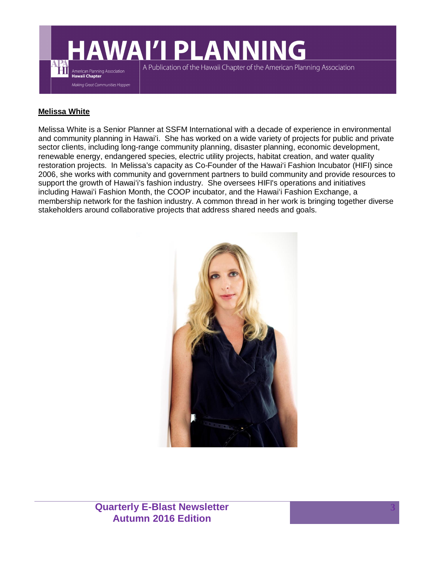

### **Melissa White**

Melissa White is a Senior Planner at SSFM International with a decade of experience in environmental and community planning in Hawai'i. She has worked on a wide variety of projects for public and private sector clients, including long-range community planning, disaster planning, economic development, renewable energy, endangered species, electric utility projects, habitat creation, and water quality restoration projects. In Melissa's capacity as Co-Founder of the Hawai'i Fashion Incubator (HIFI) since 2006, she works with community and government partners to build community and provide resources to support the growth of Hawai'i's fashion industry. She oversees HIFI's operations and initiatives including Hawai'i Fashion Month, the COOP incubator, and the Hawai'i Fashion Exchange, a membership network for the fashion industry. A common thread in her work is bringing together diverse stakeholders around collaborative projects that address shared needs and goals.